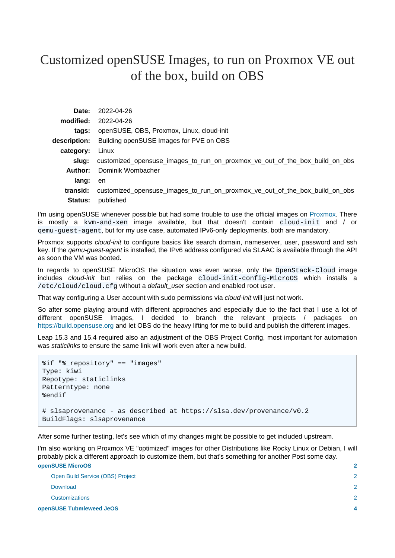# Customized openSUSE Images, to run on Proxmox VE out of the box, build on OBS

|                | Date: 2022-04-26                                                            |
|----------------|-----------------------------------------------------------------------------|
| modified:      | 2022-04-26                                                                  |
| tags:          | openSUSE, OBS, Proxmox, Linux, cloud-init                                   |
|                | description: Building openSUSE Images for PVE on OBS                        |
| category:      | Linux                                                                       |
| slua:          | customized_opensuse_images_to_run_on_proxmox_ve_out_of_the_box_build_on_obs |
|                | <b>Author:</b> Dominik Wombacher                                            |
| lang:          | en                                                                          |
| transid:       | customized_opensuse_images_to_run_on_proxmox_ve_out_of_the_box_build_on_obs |
| <b>Status:</b> | published                                                                   |

I'm using openSUSE whenever possible but had some trouble to use the official images o[n Proxmox](https://proxmox.com). There is mostly a kvm-and-xen image available, but that doesn't contain cloud-init and / or qemu-guest-agent, but for my use case, automated IPv6-only deployments, both are mandatory.

Proxmox supports *cloud-init* to configure basics like search domain, nameserver, user, password and ssh key. If the qemu-guest-agent is installed, the IPv6 address configured via SLAAC is available through the API as soon the VM was booted.

In regards to openSUSE MicroOS the situation was even worse, only the OpenStack-Cloud image includes cloud-init but relies on the package cloud-init-config-MicroOS which installs a /etc/cloud/cloud.cfg without a default\_user section and enabled root user.

That way configuring a User account with sudo permissions via cloud-init will just not work.

So after some playing around with different approaches and especially due to the fact that I use a lot of different openSUSE Images, I decided to branch the relevant projects / packages on <https://build.opensuse.org>and let OBS do the heavy lifting for me to build and publish the different images.

Leap 15.3 and 15.4 required also an adjustment of the OBS Project Config, most important for automation was staticlinks to ensure the same link will work even after a new build.

```
%if "%_repository" == "images"
Type: kiwi
Repotype: staticlinks
Patterntype: none
%endif
# slsaprovenance - as described at https://slsa.dev/provenance/v0.2
BuildFlags: slsaprovenance
```
After some further testing, let's see which of my changes might be possible to get included upstream.

I'm also working on Proxmox VE "optimized" images for other Distributions like Rocky Linux or Debian, I will probably pick a different approach to customize them, but that's something for another Post some day. **[openSUSE MicroOS](#page-1-0) [2](#page-1-0)**

| openSUSE Tubmleweed JeOS |                                  | Δ             |
|--------------------------|----------------------------------|---------------|
|                          | <b>Customizations</b>            | $\mathcal{P}$ |
|                          | Download                         | 2             |
|                          | Open Build Service (OBS) Project | 2             |
|                          |                                  |               |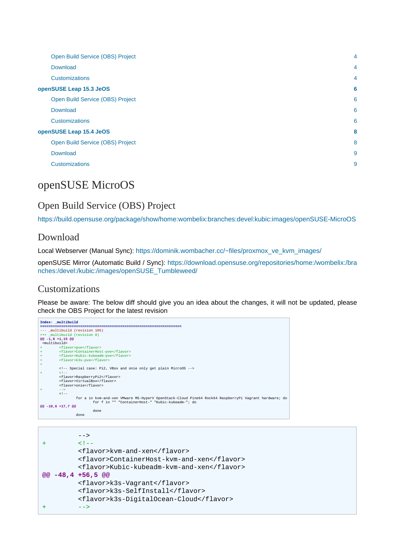| Open Build Service (OBS) Project | $\overline{4}$ |
|----------------------------------|----------------|
| Download                         | $\overline{4}$ |
| <b>Customizations</b>            | $\overline{4}$ |
| openSUSE Leap 15.3 JeOS          | 6              |
| Open Build Service (OBS) Project | 6              |
| Download                         | 6              |
| <b>Customizations</b>            | 6              |
| openSUSE Leap 15.4 JeOS          | 8              |
| Open Build Service (OBS) Project | 8              |
| Download                         | 9              |
| <b>Customizations</b>            | 9              |
|                                  |                |

# <span id="page-1-0"></span>openSUSE MicroOS

# <span id="page-1-1"></span>Open Build Service (OBS) Project

<https://build.opensuse.org/package/show/home:wombelix:branches:devel:kubic:images/openSUSE-MicroOS>

### <span id="page-1-2"></span>Download

Local Webserver (Manual Sync): [https://dominik.wombacher.cc/~files/proxmox\\_ve\\_kvm\\_images/](https://dominik.wombacher.cc/~files/proxmox_ve_kvm_images/)

openSUSE Mirror (Automatic Build / Sync): [https://download.opensuse.org/repositories/home:/wombelix:/bra](https://download.opensuse.org/repositories/home:/wombelix:/branches:/devel:/kubic:/images/openSUSE_Tumbleweed/) [nches:/devel:/kubic:/images/openSUSE\\_Tumbleweed/](https://download.opensuse.org/repositories/home:/wombelix:/branches:/devel:/kubic:/images/openSUSE_Tumbleweed/)

#### <span id="page-1-3"></span>Customizations

```
Index: _multibuild
                                                  ===================================================================
--- _multibuild (revision 105)
+++ _multibuild (revision 8)
@@ -1,8 +1,15 @@
 <multibuild>
+ <flavor>pve</flavor>
+ <flavor>ContainerHost-pve</flavor>
+ <flavor>Kubic-kubeadm-pve</flavor>
+ <flavor>k3s-pve</flavor>
+
 <!-- Special case: Pi2, VBox and onie only get plain MicroOS -->
+ <!--
 <flavor>RaspberryPi2</flavor>
 <flavor>VirtualBox</flavor>
 <flavor>onie</flavor>
+ - - ><br>\leq - + for a in kvm-and-xen VMware MS-HyperV OpenStack-Cloud Pine64 Rock64 RaspberryPi Vagrant hardware; do
 for f in "" "ContainerHost-" "Kubic-kubeadm-"; do
@@ -10,6 +17,7 @@
                                   done
                        done
```

```
--+ <!-- <flavor>kvm-and-xen</flavor>
         <flavor>ContainerHost-kvm-and-xen</flavor>
         <flavor>Kubic-kubeadm-kvm-and-xen</flavor>
@@ -48,4 +56,5 @@
         <flavor>k3s-Vagrant</flavor>
         <flavor>k3s-SelfInstall</flavor>
         <flavor>k3s-DigitalOcean-Cloud</flavor>
+ -->
```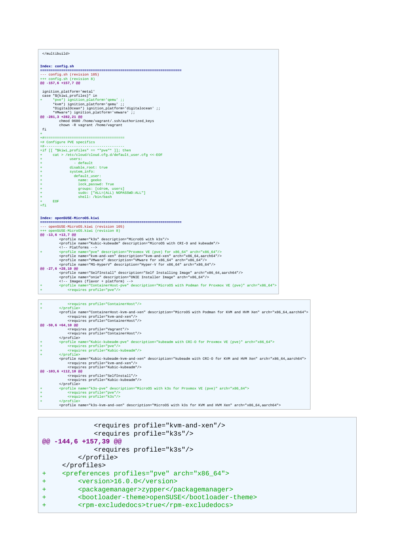| Index: config.sh                                                                                                  |  |  |
|-------------------------------------------------------------------------------------------------------------------|--|--|
|                                                                                                                   |  |  |
| --- config.sh (revision 105)                                                                                      |  |  |
| +++ config.sh (revision 8)                                                                                        |  |  |
| @@ -157,6 +157,7 @@                                                                                               |  |  |
|                                                                                                                   |  |  |
| ignition_platform='metal'                                                                                         |  |  |
| case "\${kiwi_profiles}" in                                                                                       |  |  |
| *pve*) ignition_platform='qemu' ;;<br>*kvm*) ignition_platform='qemu' ;;                                          |  |  |
| *DigitalOcean*) ignition_platform='digitalocean' ;;                                                               |  |  |
| *VMware*) ignition_platform='vmware' ;;                                                                           |  |  |
|                                                                                                                   |  |  |
| @@ -281,3 +282,21 @@<br>chmod 0600 /home/vagrant/.ssh/authorized_keys                                             |  |  |
| chown -R vagrant /home/vagrant                                                                                    |  |  |
| fi                                                                                                                |  |  |
| ÷                                                                                                                 |  |  |
|                                                                                                                   |  |  |
| +# Configure PVE specifics                                                                                        |  |  |
| +#-----------------------------------                                                                             |  |  |
| +if $[$ "\$kiwi profiles" == *"pve"* ]]; then                                                                     |  |  |
| cat > /etc/cloud/cloud.cfg.d/default user.cfg <<-EOF                                                              |  |  |
| users:                                                                                                            |  |  |
| - default<br>$\ddot{}$                                                                                            |  |  |
| disable root: true                                                                                                |  |  |
| system info:                                                                                                      |  |  |
| default_user:<br>÷                                                                                                |  |  |
| name: geeko                                                                                                       |  |  |
| lock_passwd: True                                                                                                 |  |  |
| groups: [cdrom, users]                                                                                            |  |  |
| sudo: ["ALL=(ALL) NOPASSWD:ALL"]                                                                                  |  |  |
| shell: /bin/bash                                                                                                  |  |  |
| <b>EOF</b><br>$\ddot{}$                                                                                           |  |  |
| $+fi$                                                                                                             |  |  |
|                                                                                                                   |  |  |
|                                                                                                                   |  |  |
| Index: openSUSE-MicroOS.kiwi                                                                                      |  |  |
|                                                                                                                   |  |  |
| --- openSUSE-MicroOS.kiwi (revision 105)                                                                          |  |  |
| +++ openSUSE-MicroOS.kiwi (revision 8)                                                                            |  |  |
| @@ -13,6 +13,7 @@                                                                                                 |  |  |
| <profile description="MicroOS with k3s" name="k3s"></profile>                                                     |  |  |
| <profile description="MicroOS with CRI-O and kubeadm" name="Kubic-kubeadm"></profile>                             |  |  |
| Platforms                                                                                                         |  |  |
| <profile arch="x86_64" description="Proxmox VE (pve) for x86_64" name="pve"></profile><br>÷                       |  |  |
| <profile arch="x86_64,aarch64" description="kvm-and-xen" name="kvm-and-xen"></profile>                            |  |  |
| <profile arch="x86_64" description="VMware for x86_64" name="VMware"></profile>                                   |  |  |
| <profile arch="x86_64" description="Hyper-V for x86_64" name="MS-HyperV"></profile>                               |  |  |
| @@ -27,6 +28,10 @@                                                                                                |  |  |
| <profile arch="x86_64,aarch64" description="Self Installing Image" name="SelfInstall"></profile>                  |  |  |
| <profile arch="x86_64" description="ONIE Installer Image" name="onie"></profile>                                  |  |  |
| Images (flavor + platform)                                                                                        |  |  |
| <profile arch="x86 64" description="MicroOS with Podman for Proxmox VE (pve)" name="ContainerHost-pve"></profile> |  |  |
| <requires profile="pve"></requires>                                                                               |  |  |

# + cypcile><br>
(sporile)<br>
(sporile)<br>
(sporile)<br>
(sporile)<br>
(sporile)<br>
(sporile)<br>
(sporile)<br>
(sporile)<br>
(sporile)<br>
(sporile)<br>
(sporile)<br>
(sporile)<br>
(sporile)<br>
(sporile)<br>
(sporile)<br>
(sporile)<br>
(sporile)<br>
(sporile)<br>
(sporile)<br>

| <requires profile="kvm-and-xen"></requires><br><requires profile="k3s"></requires><br>@@ -144,6 +157,39 @@ |
|------------------------------------------------------------------------------------------------------------|
| <requires profile="k3s"></requires>                                                                        |
|                                                                                                            |
|                                                                                                            |
| <preferences arch="x86_64" profiles="pve"><br/><math>+</math></preferences>                                |
| <version>16.0.0</version><br>$\pm$                                                                         |
| <packagemanager>zypper</packagemanager><br>$\pm$                                                           |
| <bootloader-theme>openSUSE</bootloader-theme><br>$\div$                                                    |
| <rpm-excludedocs>true</rpm-excludedocs><br>+                                                               |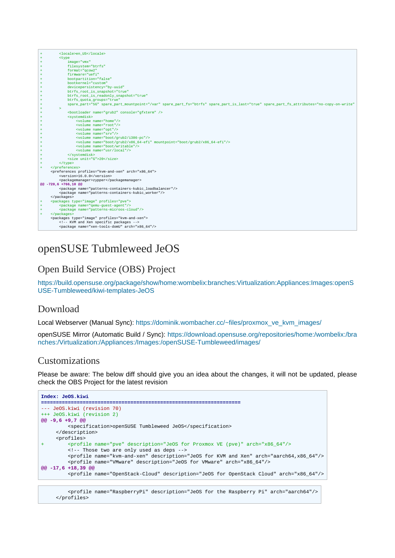|     | <locale>en US</locale>                                                                                                                   |  |
|-----|------------------------------------------------------------------------------------------------------------------------------------------|--|
|     | <type< td=""></type<>                                                                                                                    |  |
| $+$ | image="vmx"                                                                                                                              |  |
|     | filesystem="btrfs"                                                                                                                       |  |
|     | format="gcow2"                                                                                                                           |  |
|     | firmware="uefi"                                                                                                                          |  |
|     | bootpartition="false"                                                                                                                    |  |
|     | bootkernel="custom"                                                                                                                      |  |
| $+$ | devicepersistency="by-uuid"                                                                                                              |  |
|     | btrfs root is snapshot="true"                                                                                                            |  |
|     | btrfs root is readonly snapshot="true"                                                                                                   |  |
|     | btrfs quota groups="true"                                                                                                                |  |
|     | spare part="5G" spare part mountpoint="/var" spare part fs="btrfs" spare part is last="true" spare part fs attributes="no-copy-on-write" |  |
|     | $\geq$                                                                                                                                   |  |
|     | <bootloader console="gfxterm" name="grub2"></bootloader>                                                                                 |  |
|     | <systemdisk></systemdisk>                                                                                                                |  |
|     | <volume name="home"></volume>                                                                                                            |  |
| $+$ | <volume name="root"></volume>                                                                                                            |  |
|     | <volume name="opt"></volume>                                                                                                             |  |
|     | <volume name="srv"></volume>                                                                                                             |  |
|     | <volume name="boot/grub2/i386-pc"></volume>                                                                                              |  |
|     | <volume mountpoint="boot/grub2/x86 64-efi" name="boot/grub2/x86 64-efi"></volume>                                                        |  |
|     | <volume name="boot/writable"></volume>                                                                                                   |  |
|     | <volume name="usr/local"></volume>                                                                                                       |  |
| $+$ |                                                                                                                                          |  |
|     | <size unit="G">20</size>                                                                                                                 |  |
| $+$ | $\langle$ /type>                                                                                                                         |  |
| $+$ |                                                                                                                                          |  |
|     | <preferences arch="x86 64" profiles="kvm-and-xen"></preferences>                                                                         |  |
|     | <version>16.0.0</version>                                                                                                                |  |
|     | <packagemanager>zypper</packagemanager>                                                                                                  |  |
|     | @@ -720,6 +766,10 @@                                                                                                                     |  |
|     | <package name="patterns-containers-kubic_loadbalancer"></package>                                                                        |  |
|     | <package name="patterns-containers-kubic worker"></package>                                                                              |  |
|     |                                                                                                                                          |  |
|     | <packages profiles="pve" type="image"></packages>                                                                                        |  |
|     | <package name="gemu-quest-agent"></package>                                                                                              |  |
| $+$ | <package name="patterns-microos-cloud"></package>                                                                                        |  |
| $+$ |                                                                                                                                          |  |
|     | <packages profiles="kvm-and-xen" type="image"></packages>                                                                                |  |
|     | KVM and Xen specific packages                                                                                                            |  |
|     | <package arch="x86 64" name="xen-tools-domU"></package>                                                                                  |  |

# <span id="page-3-0"></span>openSUSE Tubmleweed JeOS

# <span id="page-3-1"></span>Open Build Service (OBS) Project

[https://build.opensuse.org/package/show/home:wombelix:branches:Virtualization:Appliances:Images:openS](https://build.opensuse.org/package/show/home:wombelix:branches:Virtualization:Appliances:Images:openSUSE-Tumbleweed/kiwi-templates-JeOS) [USE-Tumbleweed/kiwi-templates-JeOS](https://build.opensuse.org/package/show/home:wombelix:branches:Virtualization:Appliances:Images:openSUSE-Tumbleweed/kiwi-templates-JeOS)

#### <span id="page-3-2"></span>Download

Local Webserver (Manual Sync): [https://dominik.wombacher.cc/~files/proxmox\\_ve\\_kvm\\_images/](https://dominik.wombacher.cc/~files/proxmox_ve_kvm_images/)

openSUSE Mirror (Automatic Build / Sync): [https://download.opensuse.org/repositories/home:/wombelix:/bra](https://download.opensuse.org/repositories/home:/wombelix:/branches:/Virtualization:/Appliances:/Images:/openSUSE-Tumbleweed/images/) [nches:/Virtualization:/Appliances:/Images:/openSUSE-Tumbleweed/images/](https://download.opensuse.org/repositories/home:/wombelix:/branches:/Virtualization:/Appliances:/Images:/openSUSE-Tumbleweed/images/)

#### <span id="page-3-3"></span>Customizations

```
Index: JeOS.kiwi
===================================================================
--- JeOS.kiwi (revision 70)
+++ JeOS.kiwi (revision 2)
@@ -9,6 +9,7 @@
         <specification>openSUSE Tumbleweed JeOS</specification>
     </description>
      <profiles>
+ <profile name="pve" description="JeOS for Proxmox VE (pve)" arch="x86_64"/>
          <!-- Those two are only used as deps -->
          <profile name="kvm-and-xen" description="JeOS for KVM and Xen" arch="aarch64,x86_64"/>
         <profile name="VMware" description="JeOS for VMware" arch="x86_64"/>
@@ -17,6 +18,39 @@
          <profile name="OpenStack-Cloud" description="JeOS for OpenStack Cloud" arch="x86_64"/>
```

```
 <profile name="RaspberryPi" description="JeOS for the Raspberry Pi" arch="aarch64"/>
 </profiles>
```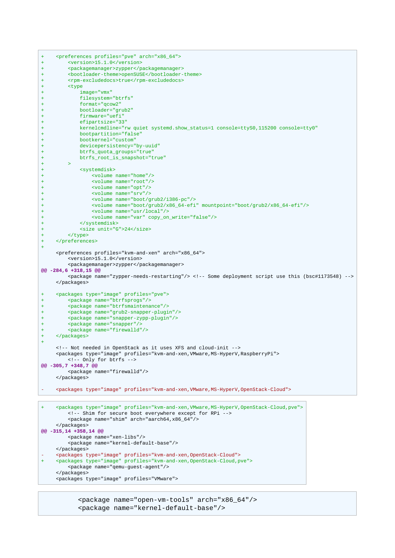```
+ <preferences profiles="pve" arch="x86_64">
+ <version>15.1.0</version>
+ <packagemanager>zypper</packagemanager>
+ <bootloader-theme>openSUSE</bootloader-theme>
+ <rpm-excludedocs>true</rpm-excludedocs>
+ <type
+ image="vmx"
+ filesystem="btrfs"<br>+ format="gcow2"
           + format="qcow2"
+ bootloader="grub2"
+ firmware="uefi"
+ efipartsize="33"
+ kernelcmdline="rw quiet systemd.show_status=1 console=ttyS0,115200 console=tty0"
           + bootpartition="false"
+ bootkernel="custom"
+ devicepersistency="by-uuid"
+ btrfs_quota_groups="true"
+ btrfs_root_is_snapshot="true"
+ - - >+ <systemdisk>
+ <volume name="home"/>
+ <volume name="root"/>
+ <volume name="opt"/>
+ <volume name="srv"/>
+ <volume name="boot/grub2/i386-pc"/>
+ <volume name="boot/grub2/x86_64-efi" mountpoint="boot/grub2/x86_64-efi"/>
+ <volume name="usr/local"/>
+ <volume name="var" copy_on_write="false"/>
+ </systemdisk>
+ <size unit="G">24</size>
+ </type>
+ </preferences>
+
     <preferences profiles="kvm-and-xen" arch="x86_64">
        <version>15.1.0</version>
        <packagemanager>zypper</packagemanager>
@@ -284,6 +318,15 @@
        <package name="zypper-needs-restarting"/> <!-- Some deployment script use this (bsc#1173548) -->
     </packages>
+ <packages type="image" profiles="pve">
+ <package name="btrfsprogs"/>
+ <package name="btrfsmaintenance"/>
+ <package name="grub2-snapper-plugin"/>
+ <package name="snapper-zypp-plugin"/>
+ <package name="snapper"/>
+ <package name="firewalld"/>
+ </packages>
+
     <!-- Not needed in OpenStack as it uses XFS and cloud-init -->
     <packages type="image" profiles="kvm-and-xen,VMware,MS-HyperV,RaspberryPi">
        <!-- Only for btrfs -->
@@ -305,7 +348,7 @@
        <package name="firewalld"/>
     </packages>
- <packages type="image" profiles="kvm-and-xen,VMware,MS-HyperV,OpenStack-Cloud">
    + <packages type="image" profiles="kvm-and-xen,VMware,MS-HyperV,OpenStack-Cloud,pve">
```

```
 <!-- Shim for secure boot everywhere except for RPi -->
          <package name="shim" arch="aarch64,x86_64"/>
     </packages>
@@ -315,14 +358,14 @@
         <package name="xen-libs"/>
          <package name="kernel-default-base"/>
     </packages>
    - <packages type="image" profiles="kvm-and-xen,OpenStack-Cloud">
+ <packages type="image" profiles="kvm-and-xen,OpenStack-Cloud,pve">
         <package name="qemu-guest-agent"/>
     </packages>
     <packages type="image" profiles="VMware">
```
 <package name="open-vm-tools" arch="x86\_64"/> <package name="kernel-default-base"/>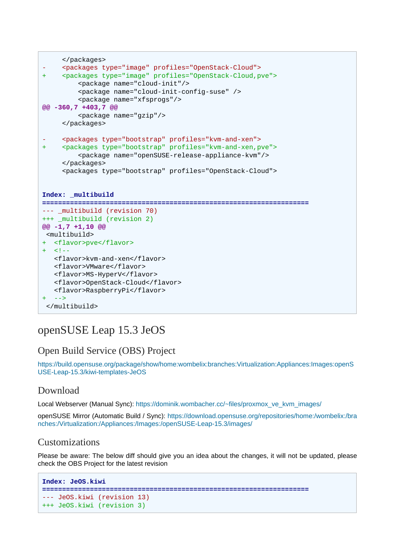```
 </packages>
- <packages type="image" profiles="OpenStack-Cloud">
+ <packages type="image" profiles="OpenStack-Cloud,pve">
          <package name="cloud-init"/>
          <package name="cloud-init-config-suse" />
          <package name="xfsprogs"/>
@@ -360,7 +403,7 @@
          <package name="gzip"/>
      </packages>
    - <packages type="bootstrap" profiles="kvm-and-xen">
+ <packages type="bootstrap" profiles="kvm-and-xen,pve">
          <package name="openSUSE-release-appliance-kvm"/>
      </packages>
      <packages type="bootstrap" profiles="OpenStack-Cloud">
Index: _multibuild
===================================================================
--- _multibuild (revision 70)
+++ _multibuild (revision 2)
@@ -1,7 +1,10 @@
<multibuild>
+ <flavor>pve</flavor>
+ <! - <flavor>kvm-and-xen</flavor>
   <flavor>VMware</flavor>
    <flavor>MS-HyperV</flavor>
   <flavor>OpenStack-Cloud</flavor>
   <flavor>RaspberryPi</flavor>
  - - ></multibuild>
```
# <span id="page-5-0"></span>openSUSE Leap 15.3 JeOS

# <span id="page-5-1"></span>Open Build Service (OBS) Project

[https://build.opensuse.org/package/show/home:wombelix:branches:Virtualization:Appliances:Images:openS](https://build.opensuse.org/package/show/home:wombelix:branches:Virtualization:Appliances:Images:openSUSE-Leap-15.3/kiwi-templates-JeOS) [USE-Leap-15.3/kiwi-templates-JeOS](https://build.opensuse.org/package/show/home:wombelix:branches:Virtualization:Appliances:Images:openSUSE-Leap-15.3/kiwi-templates-JeOS)

# <span id="page-5-2"></span>Download

Local Webserver (Manual Sync): [https://dominik.wombacher.cc/~files/proxmox\\_ve\\_kvm\\_images/](https://dominik.wombacher.cc/~files/proxmox_ve_kvm_images/)

openSUSE Mirror (Automatic Build / Sync): [https://download.opensuse.org/repositories/home:/wombelix:/bra](https://download.opensuse.org/repositories/home:/wombelix:/branches:/Virtualization:/Appliances:/Images:/openSUSE-Leap-15.3/images/) [nches:/Virtualization:/Appliances:/Images:/openSUSE-Leap-15.3/images/](https://download.opensuse.org/repositories/home:/wombelix:/branches:/Virtualization:/Appliances:/Images:/openSUSE-Leap-15.3/images/)

# <span id="page-5-3"></span>Customizations

```
Index: JeOS.kiwi
===================================================================
--- JeOS.kiwi (revision 13)
+++ JeOS.kiwi (revision 3)
```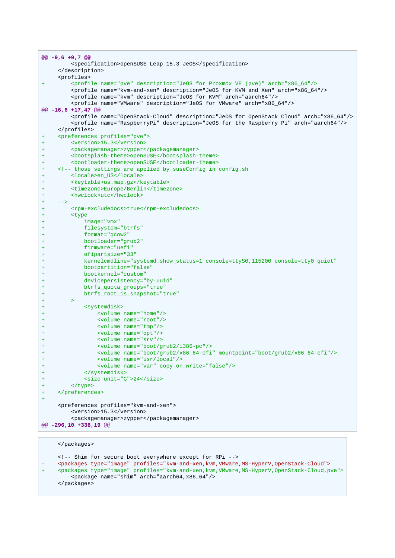|                | $@@-9,6+9,7@@$                                                                                  |
|----------------|-------------------------------------------------------------------------------------------------|
|                | <specification>openSUSE Leap 15.3 JeOS</specification>                                          |
|                |                                                                                                 |
|                | <profiles></profiles>                                                                           |
| $\ddot{}$      | <profile arch="x86_64" description="JeOS for Proxmox VE (pve)" name="pve"></profile>            |
|                | <profile arch="x86_64" description="JeOS for KVM and Xen" name="kvm-and-xen"></profile>         |
|                | <profile arch="aarch64" description="JeOS for KVM" name="kvm"></profile>                        |
|                | <profile arch="x86_64" description="JeOS for VMware" name="VMware"></profile>                   |
|                | @@ -16,6 +17,47 @@                                                                              |
|                | <profile arch="x86_64" description="JeOS for OpenStack Cloud" name="OpenStack-Cloud"></profile> |
|                | <profile arch="aarch64" description="JeOS for the Raspberry Pi" name="RaspberryPi"></profile>   |
|                |                                                                                                 |
| $\ddot{}$      | <preferences profiles="pve"></preferences>                                                      |
| $\ddot{}$      | <version>15.3</version>                                                                         |
| $\ddot{}$      | <packagemanager>zypper</packagemanager>                                                         |
| $\ddot{}$      | <bootsplash-theme>openSUSE</bootsplash-theme>                                                   |
| +              | <bootloader-theme>openSUSE</bootloader-theme>                                                   |
| $\ddot{}$      | <!-- those settings are applied by suseConfig in config.sh</th>                                 |
| ÷<br>$\ddot{}$ | <locale>en_US</locale><br><keytable>us.map.gz</keytable>                                        |
| $\pm$          | <timezone>Europe/Berlin</timezone>                                                              |
| +              | <hwclock>utc</hwclock>                                                                          |
| $\ddot{}$      | $--&>$                                                                                          |
| $\pm$          | <rpm-excludedocs>true</rpm-excludedocs>                                                         |
| +              | <type< th=""></type<>                                                                           |
| $\ddot{}$      | $image="rm xx"$                                                                                 |
| +              | filesystem="btrfs"                                                                              |
| $\ddot{}$      | $format="qcow2"$                                                                                |
| $\pm$          | bootloader="grub2"                                                                              |
| +              | firmware="uefi"                                                                                 |
| $\ddot{}$      | $efipartsize="33"$                                                                              |
| ÷              | kernelcmdline="systemd.show_status=1 console=ttyS0,115200 console=tty0 quiet"                   |
| $\ddot{}$      | bootpartition="false"                                                                           |
| $\pm$          | bootkernel="custom"                                                                             |
| $\pm$          | devicepersistency="by-uuid"                                                                     |
| $\ddot{}$      | btrfs_quota_groups="true"                                                                       |
| ÷              | btrfs_root_is_snapshot="true"                                                                   |
| $\ddot{}$      | $\geq$                                                                                          |
| ÷              | <systemdisk></systemdisk>                                                                       |
| $\ddot{}$      | $\text{evolume}$ name="home"/><br><volume name="root"></volume>                                 |
| $\pm$          | <volume name="tmp"></volume>                                                                    |
| ÷<br>$\ddot{}$ | <volume name="opt"></volume>                                                                    |
| $\pm$          | <volume name="srv"></volume>                                                                    |
| $\ddot{}$      | <volume name="boot/grub2/i386-pc"></volume>                                                     |
| $\ddot{}$      | <volume mountpoint="boot/grub2/x86_64-efi" name="boot/grub2/x86_64-efi"></volume>               |
|                | <volume name="usr/local"></volume>                                                              |
| +              | <volume copy_on_write="false" name="var"></volume>                                              |
| +              |                                                                                                 |
| +              | <size unit="G">24</size>                                                                        |
| $\ddot{}$      |                                                                                                 |
| $\pm$          |                                                                                                 |
| $\ddot{}$      |                                                                                                 |
|                | <preferences profiles="kvm-and-xen"></preferences>                                              |
|                | <version>15.3</version>                                                                         |
|                | <packagemanager>zypper</packagemanager>                                                         |
|                | @@ -296,10 +338,19 @@                                                                           |

#### </packages> <!-- Shim for secure boot everywhere except for RPi --> - <packages type="image" profiles="kvm-and-xen,kvm,VMware,MS-HyperV,OpenStack-Cloud"> + <packages type="image" profiles="kvm-and-xen,kvm,VMware,MS-HyperV,OpenStack-Cloud,pve"> <package name="shim" arch="aarch64,x86\_64"/> </packages>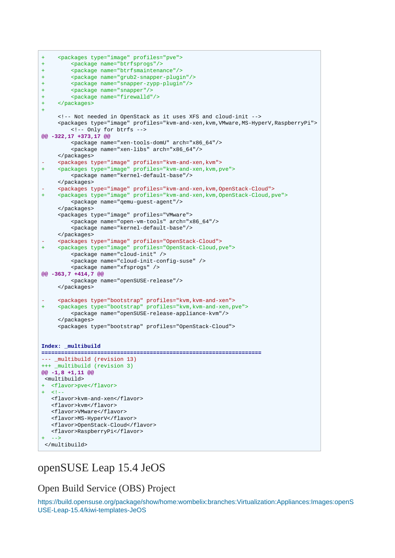```
+ <packages type="image" profiles="pve">
+ <package name="btrfsprogs"/>
+ <package name="btrfsmaintenance"/>
+ <package name="grub2-snapper-plugin"/>
+ <package name="snapper-zypp-plugin"/>
+ <package name="snapper"/>
+ <package name="firewalld"/>
+ </packages>
+
      <!-- Not needed in OpenStack as it uses XFS and cloud-init -->
      <packages type="image" profiles="kvm-and-xen,kvm,VMware,MS-HyperV,RaspberryPi">
          <!-- Only for btrfs -->
@@ -322,17 +373,17 @@
          <package name="xen-tools-domU" arch="x86_64"/>
          <package name="xen-libs" arch="x86_64"/>
     </packages>
- <packages type="image" profiles="kvm-and-xen,kvm">
+ <packages type="image" profiles="kvm-and-xen,kvm,pve">
          <package name="kernel-default-base"/>
     </packages>
- <packages type="image" profiles="kvm-and-xen,kvm,OpenStack-Cloud">
    + <packages type="image" profiles="kvm-and-xen,kvm,OpenStack-Cloud,pve">
          <package name="qemu-guest-agent"/>
     </packages>
      <packages type="image" profiles="VMware">
          <package name="open-vm-tools" arch="x86_64"/>
          <package name="kernel-default-base"/>
     </packages>
    - <packages type="image" profiles="OpenStack-Cloud">
     + <packages type="image" profiles="OpenStack-Cloud,pve">
          <package name="cloud-init" />
          <package name="cloud-init-config-suse" />
          <package name="xfsprogs" />
@@ -363,7 +414,7 @@
          <package name="openSUSE-release"/>
      </packages>
    - <packages type="bootstrap" profiles="kvm,kvm-and-xen">
     + <packages type="bootstrap" profiles="kvm,kvm-and-xen,pve">
         <package name="openSUSE-release-appliance-kvm"/>
      </packages>
      <packages type="bootstrap" profiles="OpenStack-Cloud">
Index: _multibuild
===================================================================
--- _multibuild (revision 13)
+++ _multibuild (revision 3)
@@ -1,8 +1,11 @@
 <multibuild>
+ <flavor>pve</flavor>
  - 1 - <flavor>kvm-and-xen</flavor>
    <flavor>kvm</flavor>
   <flavor>VMware</flavor>
    <flavor>MS-HyperV</flavor>
    <flavor>OpenStack-Cloud</flavor>
    <flavor>RaspberryPi</flavor>
+ - -</multibuild>
```
# <span id="page-7-0"></span>openSUSE Leap 15.4 JeOS

<span id="page-7-1"></span>Open Build Service (OBS) Project

[https://build.opensuse.org/package/show/home:wombelix:branches:Virtualization:Appliances:Images:openS](https://build.opensuse.org/package/show/home:wombelix:branches:Virtualization:Appliances:Images:openSUSE-Leap-15.4/kiwi-templates-JeOS) [USE-Leap-15.4/kiwi-templates-JeOS](https://build.opensuse.org/package/show/home:wombelix:branches:Virtualization:Appliances:Images:openSUSE-Leap-15.4/kiwi-templates-JeOS)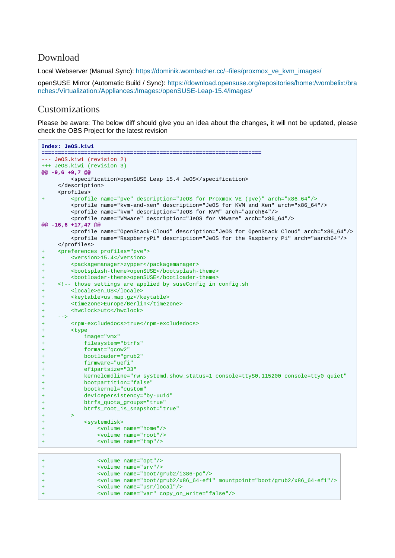#### <span id="page-8-0"></span>Download

Local Webserver (Manual Sync): [https://dominik.wombacher.cc/~files/proxmox\\_ve\\_kvm\\_images/](https://dominik.wombacher.cc/~files/proxmox_ve_kvm_images/)

openSUSE Mirror (Automatic Build / Sync): [https://download.opensuse.org/repositories/home:/wombelix:/bra](https://download.opensuse.org/repositories/home:/wombelix:/branches:/Virtualization:/Appliances:/Images:/openSUSE-Leap-15.4/images/) [nches:/Virtualization:/Appliances:/Images:/openSUSE-Leap-15.4/images/](https://download.opensuse.org/repositories/home:/wombelix:/branches:/Virtualization:/Appliances:/Images:/openSUSE-Leap-15.4/images/)

## <span id="page-8-1"></span>Customizations

```
Index: JeOS.kiwi
===================================================================
--- JeOS.kiwi (revision 2)
+++ JeOS.kiwi (revision 3)
@@ -9,6 +9,7 @@
        <specification>openSUSE Leap 15.4 JeOS</specification>
     </description>
     <profiles>
       + <profile name="pve" description="JeOS for Proxmox VE (pve)" arch="x86_64"/>
        <profile name="kvm-and-xen" description="JeOS for KVM and Xen" arch="x86_64"/>
        <profile name="kvm" description="JeOS for KVM" arch="aarch64"/>
        <profile name="VMware" description="JeOS for VMware" arch="x86_64"/>
@@ -16,6 +17,47 @@
        <profile name="OpenStack-Cloud" description="JeOS for OpenStack Cloud" arch="x86_64"/>
        <profile name="RaspberryPi" description="JeOS for the Raspberry Pi" arch="aarch64"/>
     </profiles>
+ <preferences profiles="pve">
       + <version>15.4</version>
+ <packagemanager>zypper</packagemanager>
+ <bootsplash-theme>openSUSE</bootsplash-theme>
+ <bootloader-theme>openSUSE</bootloader-theme>
+ <!-- those settings are applied by suseConfig in config.sh
+ <locale>en_US</locale>
+ <keytable>us.map.gz</keytable>
+ <timezone>Europe/Berlin</timezone>
+ <hwclock>utc</hwclock>
+ -->
+ <rpm-excludedocs>true</rpm-excludedocs>
+ <type
+ image="vmx"
+ filesystem="btrfs"
+ format="qcow2"
+ bootloader="grub2"
+ firmware="uefi"
+ efipartsize="33"
+ kernelcmdline="rw systemd.show_status=1 console=ttyS0,115200 console=tty0 quiet"
+ bootpartition="false"
+ bootkernel="custom"
+ devicepersistency="by-uuid"
+ btrfs_quota_groups="true"
+ btrfs_root_is_snapshot="true"
+ + + ++ <systemdisk>
+ <volume name="home"/>
+ <volume name="root"/>
+ <volume name="tmp"/>
+ <volume name="opt"/>
+ <volume name="srv"/>
+ <volume name="boot/grub2/i386-pc"/>
```

```
+ <volume name="boot/grub2/x86_64-efi" mountpoint="boot/grub2/x86_64-efi"/>
+ <volume name="usr/local"/>
```

```
+ <volume name="var" copy_on_write="false"/>
```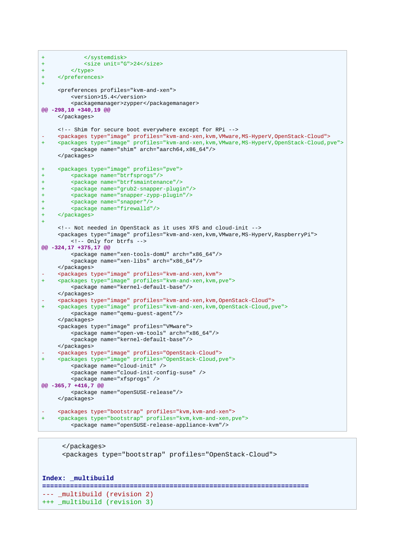```
+ </systemdisk>
+ \langle \text{size min} | \text{time max} \rangle+ </type>
+ </preferences>
+
      <preferences profiles="kvm-and-xen">
          <version>15.4</version>
          <packagemanager>zypper</packagemanager>
@@ -298,10 +340,19 @@
      </packages>
      <!-- Shim for secure boot everywhere except for RPi -->
    - <packages type="image" profiles="kvm-and-xen,kvm,VMware,MS-HyperV,OpenStack-Cloud">
     + <packages type="image" profiles="kvm-and-xen,kvm,VMware,MS-HyperV,OpenStack-Cloud,pve">
          <package name="shim" arch="aarch64,x86_64"/>
      </packages>
+ <packages type="image" profiles="pve">
+ <package name="btrfsprogs"/>
+ <package name="btrfsmaintenance"/>
+ <package name="grub2-snapper-plugin"/>
+ <package name="snapper-zypp-plugin"/>
+ <package name="snapper"/>
+ <package name="firewalld"/>
+ </packages>
+
      <!-- Not needed in OpenStack as it uses XFS and cloud-init -->
      <packages type="image" profiles="kvm-and-xen,kvm,VMware,MS-HyperV,RaspberryPi">
         <!-- Only for btrfs -->
@@ -324,17 +375,17 @@
          <package name="xen-tools-domU" arch="x86_64"/>
          <package name="xen-libs" arch="x86_64"/>
      </packages>
     - <packages type="image" profiles="kvm-and-xen,kvm">
+ <packages type="image" profiles="kvm-and-xen,kvm,pve">
          <package name="kernel-default-base"/>
     </packages>
     - <packages type="image" profiles="kvm-and-xen,kvm,OpenStack-Cloud">
     + <packages type="image" profiles="kvm-and-xen,kvm,OpenStack-Cloud,pve">
         <package name="qemu-guest-agent"/>
      </packages>
      <packages type="image" profiles="VMware">
          <package name="open-vm-tools" arch="x86_64"/>
          <package name="kernel-default-base"/>
     </packages>
     - <packages type="image" profiles="OpenStack-Cloud">
     + <packages type="image" profiles="OpenStack-Cloud,pve">
          <package name="cloud-init" />
          <package name="cloud-init-config-suse" />
          <package name="xfsprogs" />
@@ -365,7 +416,7 @@
          <package name="openSUSE-release"/>
     </packages>
     - <packages type="bootstrap" profiles="kvm,kvm-and-xen">
     + <packages type="bootstrap" profiles="kvm,kvm-and-xen,pve">
          <package name="openSUSE-release-appliance-kvm"/>
```

```
 </packages>
      <packages type="bootstrap" profiles="OpenStack-Cloud">
Index: _multibuild
===================================================================
--- _multibuild (revision 2)
+++ _multibuild (revision 3)
```